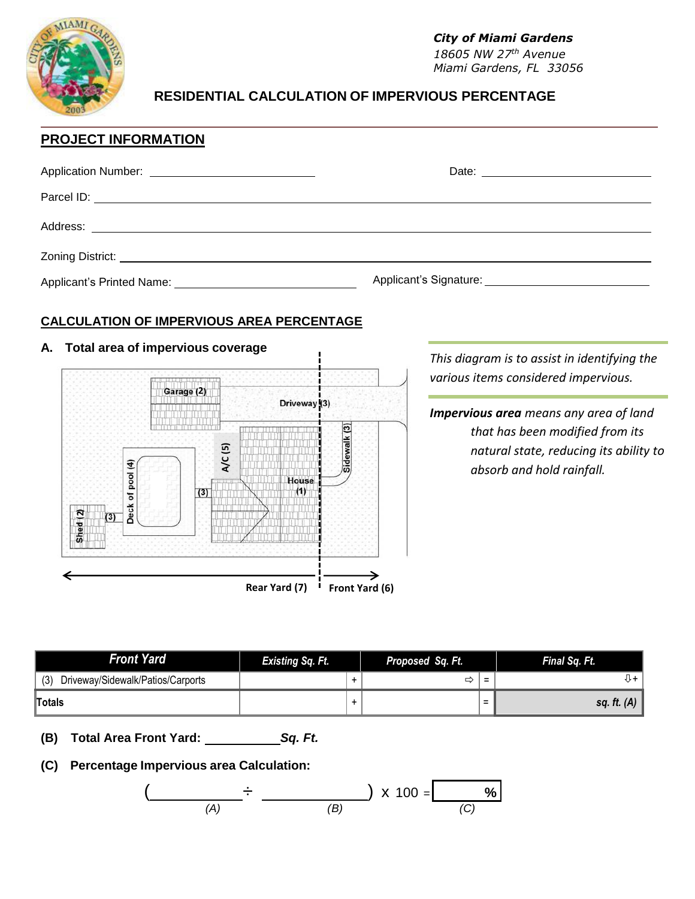

#### *City of Miami Gardens 18605 NW 27th Avenue Miami Gardens, FL 33056*

# **RESIDENTIAL CALCULATION OF IMPERVIOUS PERCENTAGE**

| <b>PROJECT INFORMATION</b>                                                                                                                                                                                                           |  |
|--------------------------------------------------------------------------------------------------------------------------------------------------------------------------------------------------------------------------------------|--|
| Application Number: <u>contract and a present and a present and a present and a present and a present and a present and a present and a present and a present and a present and a present and a present and a present and a pres</u> |  |
|                                                                                                                                                                                                                                      |  |
|                                                                                                                                                                                                                                      |  |
|                                                                                                                                                                                                                                      |  |
| Applicant's Printed Name: Name: Name and Applicant's Printed Name: Name and Applicant of Applicant Applicant A                                                                                                                       |  |

### **CALCULATION OF IMPERVIOUS AREA PERCENTAGE**

#### **A. Total area of impervious coverage**



*This diagram is to assist in identifying the various items considered impervious.* 

*Impervious area means any area of land that has been modified from its natural state, reducing its ability to absorb and hold rainfall.*

| <b>Front Yard</b>                        | <b>Existing Sq. Ft.</b> | Proposed Sq. Ft. |                               | Final Sq. Ft. |
|------------------------------------------|-------------------------|------------------|-------------------------------|---------------|
| Driveway/Sidewalk/Patios/Carports<br>(3) |                         |                  | $\overline{\phantom{0}}$<br>- | ! + ⊍         |
| Totals                                   |                         |                  |                               | sq. ft. $(A)$ |

**(B) Total Area Front Yard:** *Sq. Ft.* 

**(C) Percentage Impervious area Calculation:**

$$
\left(\frac{\cdot}{(A)} \div \frac{\cdot}{(B)}\right) \times 100 = \underline{\hspace{1cm}} \frac{\%}{(C)} \times \frac{\%}{(D)} \times \frac{\%}{(D)} \times \frac{\%}{(D)} \times \frac{\%}{(D)} \times \frac{\%}{(D)} \times \frac{\%}{(D)} \times \frac{\%}{(D)} \times \frac{\%}{(D)} \times \frac{\%}{(D)} \times \frac{\%}{(D)} \times \frac{\%}{(D)} \times \frac{\%}{(D)} \times \frac{\%}{(D)} \times \frac{\%}{(D)} \times \frac{\%}{(D)} \times \frac{\%}{(D)} \times \frac{\%}{(D)} \times \frac{\%}{(D)} \times \frac{\%}{(D)} \times \frac{\%}{(D)} \times \frac{\%}{(D)} \times \frac{\%}{(D)} \times \frac{\%}{(D)} \times \frac{\%}{(D)} \times \frac{\%}{(D)} \times \frac{\%}{(D)} \times \frac{\%}{(D)} \times \frac{\%}{(D)} \times \frac{\%}{(D)} \times \frac{\%}{(D)} \times \frac{\%}{(D)} \times \frac{\%}{(D)} \times \frac{\%}{(D)} \times \frac{\%}{(D)} \times \frac{\%}{(D)} \times \frac{\%}{(D)} \times \frac{\%}{(D)} \times \frac{\%}{(D)} \times \frac{\%}{(D)} \times \frac{\%}{(D)} \times \frac{\%}{(D)} \times \frac{\%}{(D)} \times \frac{\%}{(D)} \times \frac{\%}{(D)} \times \frac{\%}{(D)} \times \frac{\%}{(D)} \times \frac{\%}{(D)} \times \frac{\%}{(D)} \times \frac{\%}{(D)} \times \frac{\%}{(D)} \times \frac{\%}{(D)} \times \frac{\%}{(D)} \times \frac{\%}{(D)} \times \frac{\%}{(D)} \times \frac{\%}{(D)} \times \frac{\%}{(D)} \times \frac{\%}{(D)} \times \frac{\%}{(D)} \times \frac{\%}{(D)} \times \frac{\%}{(D)} \times \frac{\%}{(D)} \times \frac{\%}{(D)} \times \frac{\%}{(D)} \times \frac{\%}{(D)} \times \frac{\%}{(D)} \times \frac{\%}{(D)} \times \frac{\%}{(D)} \times \frac{\%}{(D)} \times \frac{\%}{(D)} \times \frac{\%}{(D)} \times \frac{\%}{(D)} \times \
$$